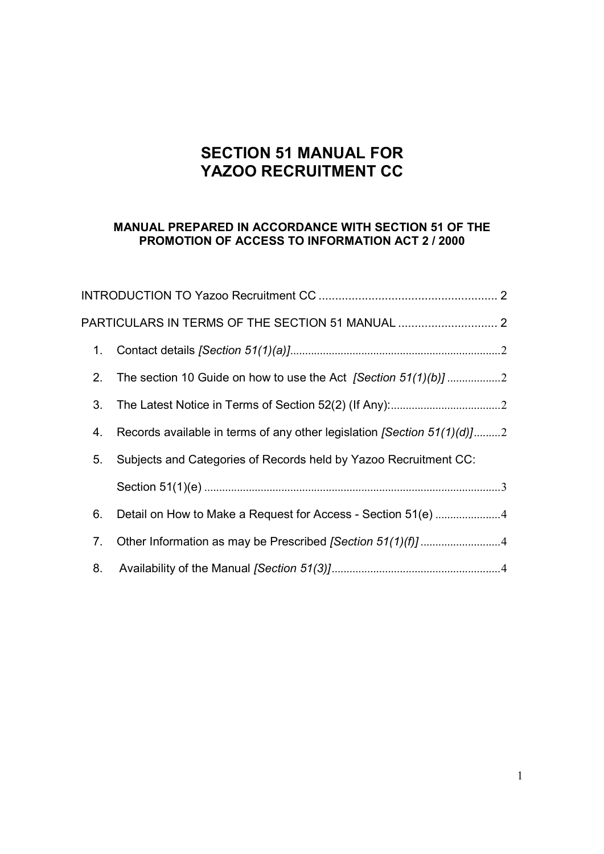# **SECTION 51 MANUAL FOR YAZOO RECRUITMENT CC**

### **MANUAL PREPARED IN ACCORDANCE WITH SECTION 51 OF THE PROMOTION OF ACCESS TO INFORMATION ACT 2 / 2000**

|    | PARTICULARS IN TERMS OF THE SECTION 51 MANUAL  2                           |
|----|----------------------------------------------------------------------------|
| 1. |                                                                            |
| 2. |                                                                            |
| 3. |                                                                            |
| 4. | Records available in terms of any other legislation [Section $51(1)(d)$ ]2 |
| 5. | Subjects and Categories of Records held by Yazoo Recruitment CC:           |
|    |                                                                            |
| 6. | Detail on How to Make a Request for Access - Section 51(e) 4               |
| 7. |                                                                            |
| 8. |                                                                            |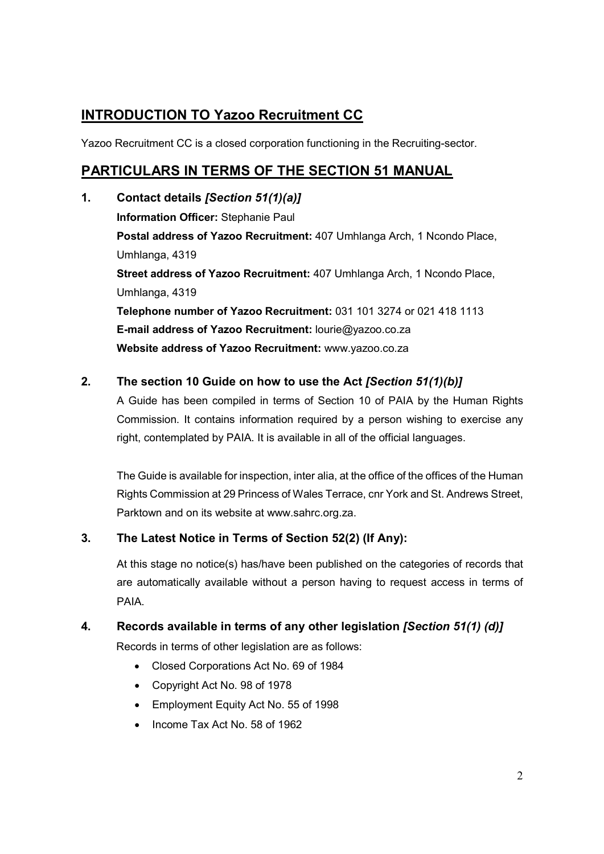# **INTRODUCTION TO Yazoo Recruitment CC**

Yazoo Recruitment CC is a closed corporation functioning in the Recruiting-sector.

# **PARTICULARS IN TERMS OF THE SECTION 51 MANUAL**

**1. Contact details** *[Section 51(1)(a)]*  **Information Officer:** Stephanie Paul **Postal address of Yazoo Recruitment:** 407 Umhlanga Arch, 1 Ncondo Place, Umhlanga, 4319 **Street address of Yazoo Recruitment:** 407 Umhlanga Arch, 1 Ncondo Place, Umhlanga, 4319 **Telephone number of Yazoo Recruitment:** 031 101 3274 or 021 418 1113 **E-mail address of Yazoo Recruitment:** lourie@yazoo.co.za **Website address of Yazoo Recruitment:** www.yazoo.co.za

## **2. The section 10 Guide on how to use the Act** *[Section 51(1)(b)]*

A Guide has been compiled in terms of Section 10 of PAIA by the Human Rights Commission. It contains information required by a person wishing to exercise any right, contemplated by PAIA. It is available in all of the official languages.

The Guide is available for inspection, inter alia, at the office of the offices of the Human Rights Commission at 29 Princess of Wales Terrace, cnr York and St. Andrews Street, Parktown and on its website at www.sahrc.org.za.

## **3. The Latest Notice in Terms of Section 52(2) (If Any):**

At this stage no notice(s) has/have been published on the categories of records that are automatically available without a person having to request access in terms of PAIA.

## **4. Records available in terms of any other legislation** *[Section 51(1) (d)]*

Records in terms of other legislation are as follows:

- Closed Corporations Act No. 69 of 1984
- Copyright Act No. 98 of 1978
- **Employment Equity Act No. 55 of 1998**
- Income Tax Act No. 58 of 1962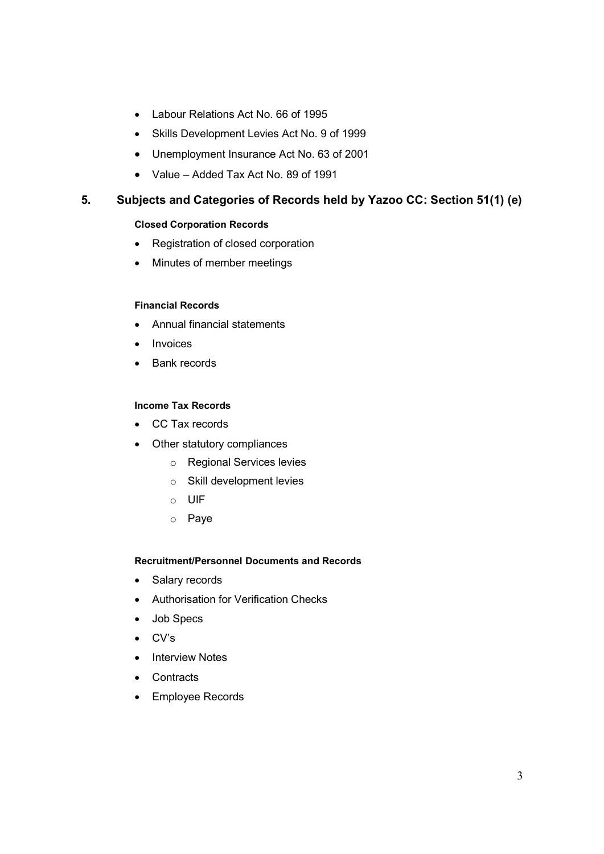- Labour Relations Act No. 66 of 1995
- Skills Development Levies Act No. 9 of 1999
- Unemployment Insurance Act No. 63 of 2001
- Value Added Tax Act No. 89 of 1991

### **5. Subjects and Categories of Records held by Yazoo CC: Section 51(1) (e)**

#### **Closed Corporation Records**

- Registration of closed corporation
- Minutes of member meetings

#### **Financial Records**

- Annual financial statements
- Invoices
- Bank records

#### **Income Tax Records**

- CC Tax records
- Other statutory compliances
	- o Regional Services levies
	- o Skill development levies
	- o UIF
	- o Paye

#### **Recruitment/Personnel Documents and Records**

- Salary records
- Authorisation for Verification Checks
- Job Specs
- CV's
- Interview Notes
- **Contracts**
- Employee Records